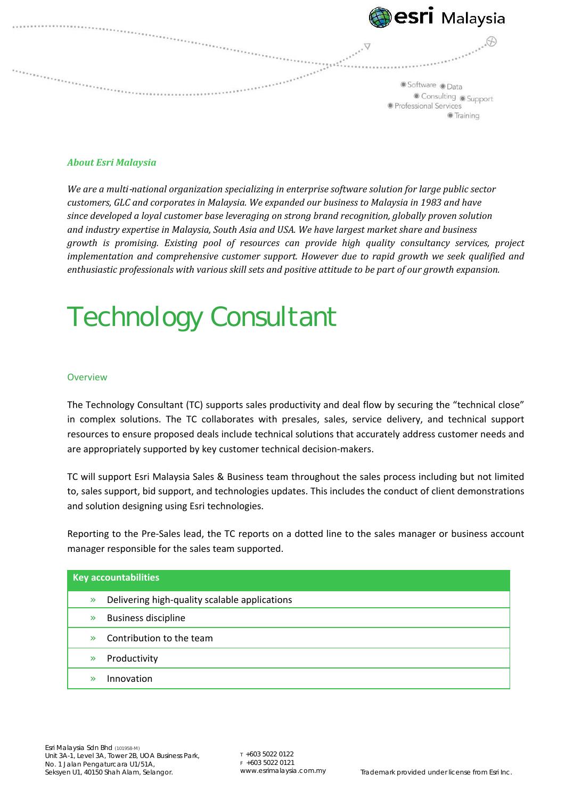

#### *About Esri Malaysia*

*We are a multi*-*national organization specializing in enterprise software solution for large public sector customers, GLC and corporates in Malaysia. We expanded our business to Malaysia in 1983 and have since developed a loyal customer base leveraging on strong brand recognition, globally proven solution and industry expertise in Malaysia, South Asia and USA. We have largest market share and business growth is promising. Existing pool of resources can provide high quality consultancy services, project implementation and comprehensive customer support. However due to rapid growth we seek qualified and enthusiastic professionals with various skill sets and positive attitude to be part of our growth expansion.*

# Technology Consultant

#### **Overview**

The Technology Consultant (TC) supports sales productivity and deal flow by securing the "technical close" in complex solutions. The TC collaborates with presales, sales, service delivery, and technical support resources to ensure proposed deals include technical solutions that accurately address customer needs and are appropriately supported by key customer technical decision‐makers.

TC will support Esri Malaysia Sales & Business team throughout the sales process including but not limited to, sales support, bid support, and technologies updates. This includes the conduct of client demonstrations and solution designing using Esri technologies.

Reporting to the Pre-Sales lead, the TC reports on a dotted line to the sales manager or business account manager responsible for the sales team supported.

| <b>Key accountabilities</b> |                                               |
|-----------------------------|-----------------------------------------------|
| $\mathcal{D}$               | Delivering high-quality scalable applications |
| $\mathcal{D}$               | <b>Business discipline</b>                    |
| $\mathbf{v}$                | Contribution to the team                      |
| $\mathbb{R}$                | Productivity                                  |
| $\mathbf{v}$                | Innovation                                    |

T +603 5022 0122  $F + 60350220121$